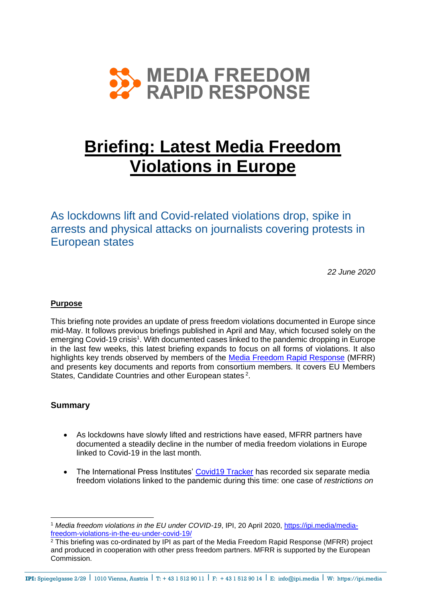

# **Briefing: Latest Media Freedom Violations in Europe**

As lockdowns lift and Covid-related violations drop, spike in arrests and physical attacks on journalists covering protests in European states

*22 June 2020*

# **Purpose**

This briefing note provides an update of press freedom violations documented in Europe since mid-May. It follows previous briefings published in April and May, which focused solely on the emerging Covid-19 crisis<sup>1</sup>. With documented cases linked to the pandemic dropping in Europe in the last few weeks, this latest briefing expands to focus on all forms of violations. It also highlights key trends observed by members of the [Media Freedom Rapid Response](https://www.mfrr.eu/) (MFRR) and presents key documents and reports from consortium members. It covers EU Members States, Candidate Countries and other European states<sup>2</sup>.

# **Summary**

- As lockdowns have slowly lifted and restrictions have eased, MFRR partners have documented a steadily decline in the number of media freedom violations in Europe linked to Covid-19 in the last month.
- The International Press Institutes' [Covid19 Tracker](https://ipi.media/covid19-media-freedom-monitoring/) has recorded six separate media freedom violations linked to the pandemic during this time: one case of *restrictions on*

<sup>1</sup> *Media freedom violations in the EU under COVID-19*, IPI, 20 April 2020, [https://ipi.media/media](https://ipi.media/media-freedom-violations-in-the-eu-under-covid-19/)[freedom-violations-in-the-eu-under-covid-19/](https://ipi.media/media-freedom-violations-in-the-eu-under-covid-19/)

 $\frac{2}{3}$  This briefing was co-ordinated by IPI as part of the Media Freedom Rapid Response (MFRR) project and produced in cooperation with other press freedom partners. MFRR is supported by the European Commission.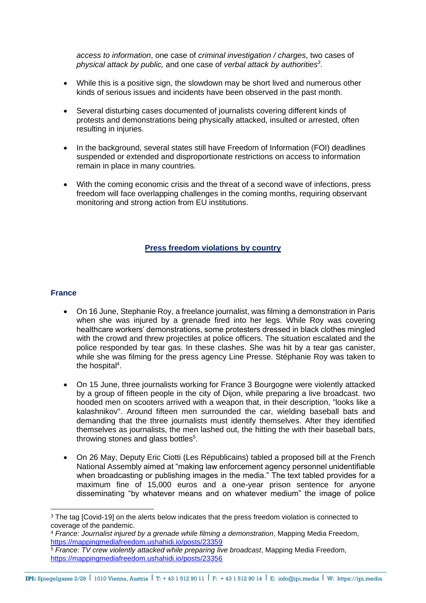*access to information*, one case of *criminal investigation / charges*, two cases of *physical attack by public,* and one case of *verbal attack by authorities<sup>3</sup>* .

- While this is a positive sign, the slowdown may be short lived and numerous other kinds of serious issues and incidents have been observed in the past month.
- Several disturbing cases documented of journalists covering different kinds of protests and demonstrations being physically attacked, insulted or arrested, often resulting in injuries.
- In the background, several states still have Freedom of Information (FOI) deadlines suspended or extended and disproportionate restrictions on access to information remain in place in many countries.
- With the coming economic crisis and the threat of a second wave of infections, press freedom will face overlapping challenges in the coming months, requiring observant monitoring and strong action from EU institutions.

## **Press freedom violations by country**

#### **France**

- On 16 June, Stephanie Roy, a freelance journalist, was filming a demonstration in Paris when she was injured by a grenade fired into her legs. While Roy was covering healthcare workers' demonstrations, some protesters dressed in black clothes mingled with the crowd and threw projectiles at police officers. The situation escalated and the police responded by tear gas. In these clashes. She was hit by a tear gas canister, while she was filming for the press agency Line Presse. Stéphanie Roy was taken to the hospital<sup>4</sup>.
- On 15 June, three journalists working for France 3 Bourgogne were violently attacked by a group of fifteen people in the city of Dijon, while preparing a live broadcast. two hooded men on scooters arrived with a weapon that, in their description, "looks like a kalashnikov". Around fifteen men surrounded the car, wielding baseball bats and demanding that the three journalists must identify themselves. After they identified themselves as journalists, the men lashed out, the hitting the with their baseball bats, throwing stones and glass bottles<sup>5</sup>.
- On 26 May, Deputy Eric Ciotti (Les Républicains) tabled a proposed bill at the French National Assembly aimed at "making law enforcement agency personnel unidentifiable when broadcasting or publishing images in the media." The text tabled provides for a maximum fine of 15,000 euros and a one-year prison sentence for anyone disseminating "by whatever means and on whatever medium" the image of police

<sup>&</sup>lt;sup>3</sup> The tag [Covid-19] on the alerts below indicates that the press freedom violation is connected to coverage of the pandemic.

<sup>4</sup> *France: Journalist injured by a grenade while filming a demonstration*, Mapping Media Freedom, <https://mappingmediafreedom.ushahidi.io/posts/23359>

<sup>&</sup>lt;sup>5</sup> France: TV crew violently attacked while preparing live broadcast, Mapping Media Freedom, <https://mappingmediafreedom.ushahidi.io/posts/23356>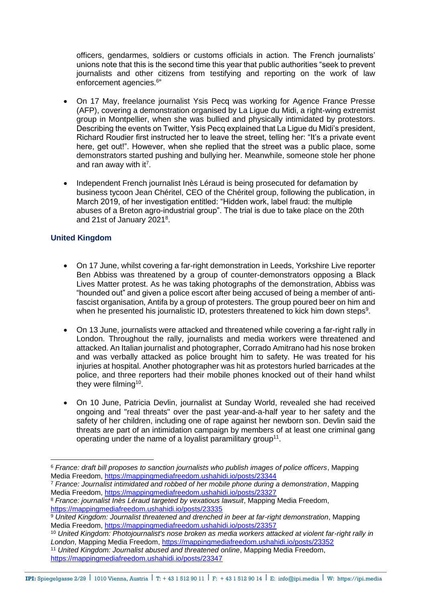officers, gendarmes, soldiers or customs officials in action. The French journalists' unions note that this is the second time this year that public authorities "seek to prevent journalists and other citizens from testifying and reporting on the work of law enforcement agencies.<sup>6</sup>"

- On 17 May, freelance journalist Ysis Pecq was working for Agence France Presse (AFP), covering a demonstration organised by La Ligue du Midi, a right-wing extremist group in Montpellier, when she was bullied and physically intimidated by protestors. Describing the events on Twitter, Ysis Pecq explained that La Ligue du Midi's president, Richard Roudier first instructed her to leave the street, telling her: "It's a private event here, get out!". However, when she replied that the street was a public place, some demonstrators started pushing and bullying her. Meanwhile, someone stole her phone and ran away with it<sup>7</sup>.
- Independent French journalist Inès Léraud is being prosecuted for defamation by business tycoon Jean Chéritel, CEO of the Chéritel group, following the publication, in March 2019, of her investigation entitled: "Hidden work, label fraud: the multiple abuses of a Breton agro-industrial group". The trial is due to take place on the 20th and 21st of January 2021<sup>8</sup>.

# **United Kingdom**

- On 17 June, whilst covering a far-right demonstration in Leeds, Yorkshire Live reporter Ben Abbiss was threatened by a group of counter-demonstrators opposing a Black Lives Matter protest. As he was taking photographs of the demonstration, Abbiss was "hounded out" and given a police escort after being accused of being a member of antifascist organisation, Antifa by a group of protesters. The group poured beer on him and when he presented his journalistic ID, protesters threatened to kick him down steps $9$ .
- On 13 June, journalists were attacked and threatened while covering a far-right rally in London. Throughout the rally, journalists and media workers were threatened and attacked. An Italian journalist and photographer, Corrado Amitrano had his nose broken and was verbally attacked as police brought him to safety. He was treated for his injuries at hospital. Another photographer was hit as protestors hurled barricades at the police, and three reporters had their mobile phones knocked out of their hand whilst they were filming<sup>10</sup>.
- On 10 June, Patricia Devlin, journalist at Sunday World, revealed she had received ongoing and "real threats" over the past year-and-a-half year to her safety and the safety of her children, including one of rape against her newborn son. Devlin said the threats are part of an intimidation campaign by members of at least one criminal gang operating under the name of a loyalist paramilitary group<sup>11</sup>.

<sup>7</sup> *France: Journalist intimidated and robbed of her mobile phone during a demonstration*, Mapping Media Freedom,<https://mappingmediafreedom.ushahidi.io/posts/23327>

<sup>6</sup> *France: draft bill proposes to sanction journalists who publish images of police officers*, Mapping Media Freedom,<https://mappingmediafreedom.ushahidi.io/posts/23344>

<sup>8</sup> *France: journalist Inès Léraud targeted by vexatious lawsuit*, Mapping Media Freedom, <https://mappingmediafreedom.ushahidi.io/posts/23335>

<sup>&</sup>lt;sup>9</sup> United Kingdom: Journalist threatened and drenched in beer at far-right demonstration, Mapping Media Freedom,<https://mappingmediafreedom.ushahidi.io/posts/23357>

<sup>10</sup> *United Kingdom: Photojournalist's nose broken as media workers attacked at violent far-right rally in London*, Mapping Media Freedom,<https://mappingmediafreedom.ushahidi.io/posts/23352>

<sup>11</sup> *United Kingdom: Journalist abused and threatened online*, Mapping Media Freedom, <https://mappingmediafreedom.ushahidi.io/posts/23347>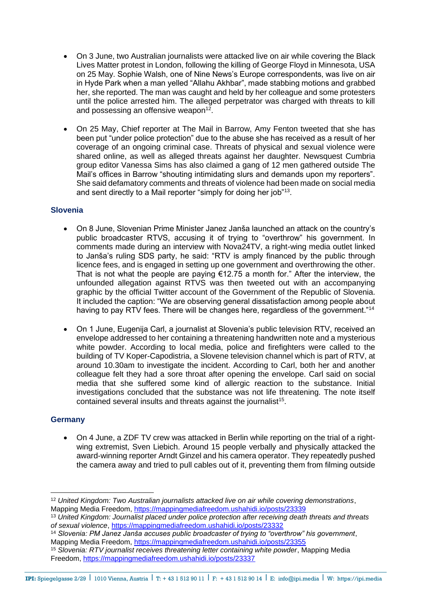- On 3 June, two Australian journalists were attacked live on air while covering the Black Lives Matter protest in London, following the killing of George Floyd in Minnesota, USA on 25 May. Sophie Walsh, one of Nine News's Europe correspondents, was live on air in Hyde Park when a man yelled "Allahu Akhbar", made stabbing motions and grabbed her, she reported. The man was caught and held by her colleague and some protesters until the police arrested him. The alleged perpetrator was charged with threats to kill and possessing an offensive weapon $12$ .
- On 25 May, Chief reporter at The Mail in Barrow, Amy Fenton tweeted that she has been put "under police protection" due to the abuse she has received as a result of her coverage of an ongoing criminal case. Threats of physical and sexual violence were shared online, as well as alleged threats against her daughter. Newsquest Cumbria group editor Vanessa Sims has also claimed a gang of 12 men gathered outside The Mail's offices in Barrow "shouting intimidating slurs and demands upon my reporters". She said defamatory comments and threats of violence had been made on social media and sent directly to a Mail reporter "simply for doing her job"<sup>13</sup>.

## **Slovenia**

- On 8 June, Slovenian Prime Minister Janez Janša launched an attack on the country's public broadcaster RTVS, accusing it of trying to "overthrow" his government. In comments made during an interview with Nova24TV, a right-wing media outlet linked to Janša's ruling SDS party, he said: "RTV is amply financed by the public through licence fees, and is engaged in setting up one government and overthrowing the other. That is not what the people are paying  $£12.75$  a month for." After the interview, the unfounded allegation against RTVS was then tweeted out with an accompanying graphic by the official Twitter account of the Government of the Republic of Slovenia. It included the caption: "We are observing general dissatisfaction among people about having to pay RTV fees. There will be changes here, regardless of the government."<sup>14</sup>
- On 1 June, Eugenija Carl, a journalist at Slovenia's public television RTV, received an envelope addressed to her containing a threatening handwritten note and a mysterious white powder. According to local media, police and firefighters were called to the building of TV Koper-Capodistria, a Slovene television channel which is part of RTV, at around 10.30am to investigate the incident. According to Carl, both her and another colleague felt they had a sore throat after opening the envelope. Carl said on social media that she suffered some kind of allergic reaction to the substance. Initial investigations concluded that the substance was not life threatening. The note itself contained several insults and threats against the journalist<sup>15</sup>.

## **Germany**

• On 4 June, a ZDF TV crew was attacked in Berlin while reporting on the trial of a rightwing extremist, Sven Liebich. Around 15 people verbally and physically attacked the award-winning reporter Arndt Ginzel and his camera operator. They repeatedly pushed the camera away and tried to pull cables out of it, preventing them from filming outside

<sup>12</sup> *United Kingdom: Two Australian journalists attacked live on air while covering demonstrations*, Mapping Media Freedom,<https://mappingmediafreedom.ushahidi.io/posts/23339>

<sup>13</sup> *United Kingdom: Journalist placed under police protection after receiving death threats and threats of sexual violence*,<https://mappingmediafreedom.ushahidi.io/posts/23332>

<sup>14</sup> *Slovenia: PM Janez Janša accuses public broadcaster of trying to "overthrow" his government*, Mapping Media Freedom,<https://mappingmediafreedom.ushahidi.io/posts/23355>

<sup>15</sup> *Slovenia: RTV journalist receives threatening letter containing white powder*, Mapping Media Freedom,<https://mappingmediafreedom.ushahidi.io/posts/23337>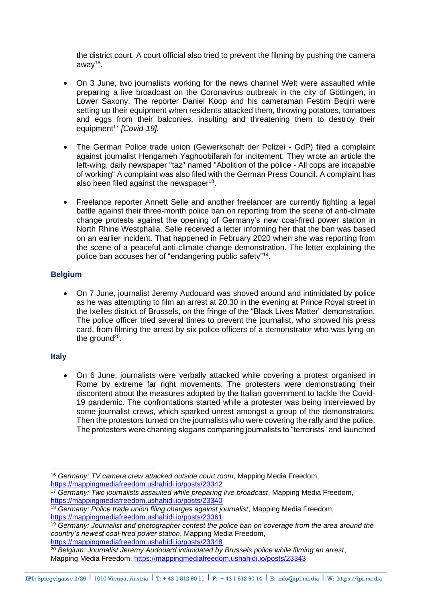the district court. A court official also tried to prevent the filming by pushing the camera away<sup>16</sup>.

- On 3 June, two journalists working for the news channel Welt were assaulted while preparing a live broadcast on the Coronavirus outbreak in the city of Göttingen, in Lower Saxony. The reporter Daniel Koop and his cameraman Festim Beqiri were setting up their equipment when residents attacked them, throwing potatoes, tomatoes and eggs from their balconies, insulting and threatening them to destroy their equipment<sup>17</sup> [Covid-19].
- The German Police trade union (Gewerkschaft der Polizei GdP) filed a complaint against journalist Hengameh Yaghoobifarah for incitement. They wrote an article the left-wing, daily newspaper "taz" named "Abolition of the police - All cops are incapable of working" A complaint was also filed with the German Press Council. A complaint has also been filed against the newspaper<sup>18</sup>.
- Freelance reporter Annett Selle and another freelancer are currently fighting a legal battle against their three-month police ban on reporting from the scene of anti-climate change protests against the opening of Germany's new coal-fired power station in North Rhine Westphalia. Selle received a letter informing her that the ban was based on an earlier incident. That happened in February 2020 when she was reporting from the scene of a peaceful anti-climate change demonstration. The letter explaining the police ban accuses her of "endangering public safety"<sup>19</sup>.

## **Belgium**

• On 7 June, journalist Jeremy Audouard was shoved around and intimidated by police as he was attempting to film an arrest at 20.30 in the evening at Prince Royal street in the Ixelles district of Brussels, on the fringe of the "Black Lives Matter" demonstration. The police officer tried several times to prevent the journalist, who showed his press card, from filming the arrest by six police officers of a demonstrator who was lying on the ground<sup>20</sup>.

#### **Italy**

• On 6 June, journalists were verbally attacked while covering a protest organised in Rome by extreme far right movements. The protesters were demonstrating their discontent about the measures adopted by the Italian government to tackle the Covid-19 pandemic. The confrontations started while a protester was being interviewed by some journalist crews, which sparked unrest amongst a group of the demonstrators. Then the protestors turned on the journalists who were covering the rally and the police. The protesters were chanting slogans comparing journalists to "terrorists" and launched

<https://mappingmediafreedom.ushahidi.io/posts/23348>

<sup>16</sup> *Germany: TV camera crew attacked outside court room*, Mapping Media Freedom, <https://mappingmediafreedom.ushahidi.io/posts/23342>

<sup>17</sup> *Germany: Two journalists assaulted while preparing live broadcast*, Mapping Media Freedom, <https://mappingmediafreedom.ushahidi.io/posts/23340>

<sup>18</sup> *Germany: Police trade union filing charges against journalist*, Mapping Media Freedom, <https://mappingmediafreedom.ushahidi.io/posts/23361>

<sup>19</sup> *Germany: Journalist and photographer contest the police ban on coverage from the area around the country's newest coal-fired power station*, Mapping Media Freedom,

<sup>20</sup> *Belgium: Journalist Jeremy Audouard intimidated by Brussels police while filming an arrest*, Mapping Media Freedom,<https://mappingmediafreedom.ushahidi.io/posts/23343>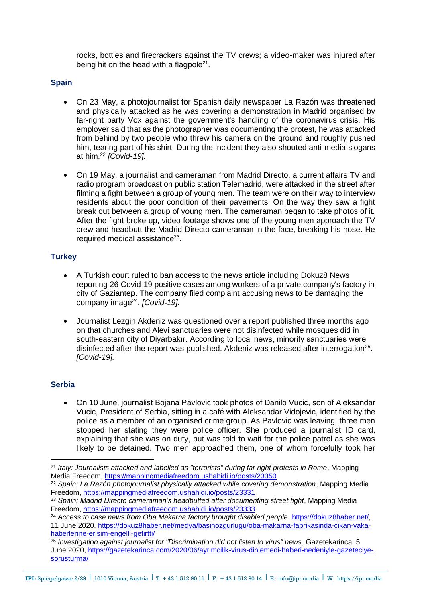rocks, bottles and firecrackers against the TV crews; a video-maker was injured after being hit on the head with a flagpole<sup>21</sup>.

## **Spain**

- On 23 May, a photojournalist for Spanish daily newspaper La Razón was threatened and physically attacked as he was covering a demonstration in Madrid organised by far-right party Vox against the government's handling of the coronavirus crisis. His employer said that as the photographer was documenting the protest, he was attacked from behind by two people who threw his camera on the ground and roughly pushed him, tearing part of his shirt. During the incident they also shouted anti-media slogans at him.<sup>22</sup> *[Covid-19].*
- On 19 May, a journalist and cameraman from Madrid Directo, a current affairs TV and radio program broadcast on public station Telemadrid, were attacked in the street after filming a fight between a group of young men. The team were on their way to interview residents about the poor condition of their pavements. On the way they saw a fight break out between a group of young men. The cameraman began to take photos of it. After the fight broke up, video footage shows one of the young men approach the TV crew and headbutt the Madrid Directo cameraman in the face, breaking his nose. He required medical assistance $^{23}$ .

## **Turkey**

- A Turkish court ruled to ban access to the news article including Dokuz8 News reporting 26 Covid-19 positive cases among workers of a private company's factory in city of Gaziantep. The company filed complaint accusing news to be damaging the company image<sup>24</sup>. [Covid-19].
- Journalist Lezgin Akdeniz was questioned over a report published three months ago on that churches and Alevi sanctuaries were not disinfected while mosques did in south-eastern city of Diyarbakır. According to local news, minority sanctuaries were disinfected after the report was published. Akdeniz was released after interrogation<sup>25</sup>. *[Covid-19].*

## **Serbia**

• On 10 June, journalist Bojana Pavlovic took photos of Danilo Vucic, son of Aleksandar Vucic, President of Serbia, sitting in a café with Aleksandar Vidojevic, identified by the police as a member of an organised crime group. As Pavlovic was leaving, three men stopped her stating they were police officer. She produced a journalist ID card, explaining that she was on duty, but was told to wait for the police patrol as she was likely to be detained. Two men approached them, one of whom forcefully took her

<sup>21</sup> *Italy: Journalists attacked and labelled as "terrorists" during far right protests in Rome*, Mapping Media Freedom,<https://mappingmediafreedom.ushahidi.io/posts/23350>

<sup>22</sup> *Spain: La Razón photojournalist physically attacked while covering demonstration*, Mapping Media Freedom,<https://mappingmediafreedom.ushahidi.io/posts/23331>

<sup>&</sup>lt;sup>23</sup> Spain: Madrid Directo cameraman's headbutted after documenting street fight. Mapping Media Freedom,<https://mappingmediafreedom.ushahidi.io/posts/23333>

<sup>&</sup>lt;sup>24</sup> Access to case news from Oba Makarna factory brought disabled people, [https://dokuz8haber.net/,](https://dokuz8haber.net/) 11 June 2020, [https://dokuz8haber.net/medya/basinozgurlugu/oba-makarna-fabrikasinda-cikan-vaka](https://dokuz8haber.net/medya/basinozgurlugu/oba-makarna-fabrikasinda-cikan-vaka-haberlerine-erisim-engelli-getirtti/)[haberlerine-erisim-engelli-getirtti/](https://dokuz8haber.net/medya/basinozgurlugu/oba-makarna-fabrikasinda-cikan-vaka-haberlerine-erisim-engelli-getirtti/)

<sup>25</sup> *Investigation against journalist for "Discrimination did not listen to virus" news*, Gazetekarinca, 5 June 2020, [https://gazetekarinca.com/2020/06/ayrimcilik-virus-dinlemedi-haberi-nedeniyle-gazeteciye](https://gazetekarinca.com/2020/06/ayrimcilik-virus-dinlemedi-haberi-nedeniyle-gazeteciye-sorusturma/)[sorusturma/](https://gazetekarinca.com/2020/06/ayrimcilik-virus-dinlemedi-haberi-nedeniyle-gazeteciye-sorusturma/)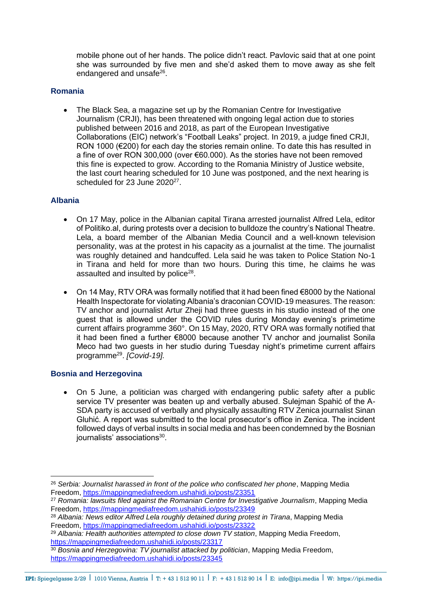mobile phone out of her hands. The police didn't react. Pavlovic said that at one point she was surrounded by five men and she'd asked them to move away as she felt endangered and unsafe<sup>26</sup>.

#### **Romania**

• The Black Sea, a magazine set up by the Romanian Centre for Investigative Journalism (CRJI), has been threatened with ongoing legal action due to stories published between 2016 and 2018, as part of the European Investigative Collaborations (EIC) network's "Football Leaks" project. In 2019, a judge fined CRJI, RON 1000 (€200) for each day the stories remain online. To date this has resulted in a fine of over RON 300,000 (over €60.000). As the stories have not been removed this fine is expected to grow. According to the Romania Ministry of Justice website, the last court hearing scheduled for 10 June was postponed, and the next hearing is scheduled for 23 June 2020<sup>27</sup>.

#### **Albania**

- On 17 May, police in the Albanian capital Tirana arrested journalist Alfred Lela, editor of Politiko.al, during protests over a decision to bulldoze the country's National Theatre. Lela, a board member of the Albanian Media Council and a well-known television personality, was at the protest in his capacity as a journalist at the time. The journalist was roughly detained and handcuffed. Lela said he was taken to Police Station No-1 in Tirana and held for more than two hours. During this time, he claims he was assaulted and insulted by police<sup>28</sup>.
- On 14 May, RTV ORA was formally notified that it had been fined €8000 by the National Health Inspectorate for violating Albania's draconian COVID-19 measures. The reason: TV anchor and journalist Artur Zheji had three guests in his studio instead of the one guest that is allowed under the COVID rules during Monday evening's primetime current affairs programme 360°. On 15 May, 2020, RTV ORA was formally notified that it had been fined a further €8000 because another TV anchor and journalist Sonila Meco had two guests in her studio during Tuesday night's primetime current affairs programme<sup>29</sup> . *[Covid-19].*

#### **Bosnia and Herzegovina**

• On 5 June, a politician was charged with endangering public safety after a public service TV presenter was beaten up and verbally abused. Sulejman Spahić of the A-SDA party is accused of verbally and physically assaulting RTV Zenica journalist Sinan Gluhić. A report was submitted to the local prosecutor's office in Zenica. The incident followed days of verbal insults in social media and has been condemned by the Bosnian journalists' associations<sup>30</sup>.

<sup>26</sup> *Serbia: Journalist harassed in front of the police who confiscated her phone*, Mapping Media Freedom,<https://mappingmediafreedom.ushahidi.io/posts/23351>

<sup>27</sup> *Romania: lawsuits filed against the Romanian Centre for Investigative Journalism*, Mapping Media Freedom,<https://mappingmediafreedom.ushahidi.io/posts/23349>

<sup>&</sup>lt;sup>28</sup> Albania: News editor Alfred Lela roughly detained during protest in Tirana, Mapping Media Freedom,<https://mappingmediafreedom.ushahidi.io/posts/23322>

<sup>29</sup> *Albania: Health authorities attempted to close down TV station*, Mapping Media Freedom, <https://mappingmediafreedom.ushahidi.io/posts/23317>

<sup>30</sup> *Bosnia and Herzegovina: TV journalist attacked by politician*, Mapping Media Freedom, <https://mappingmediafreedom.ushahidi.io/posts/23345>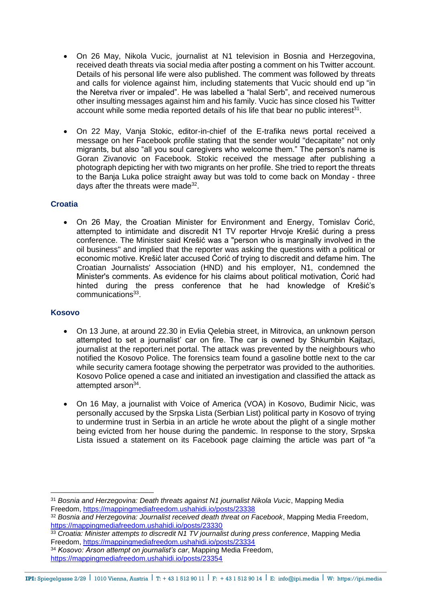- On 26 May, Nikola Vucic, journalist at N1 television in Bosnia and Herzegovina, received death threats via social media after posting a comment on his Twitter account. Details of his personal life were also published. The comment was followed by threats and calls for violence against him, including statements that Vucic should end up "in the Neretva river or impaled". He was labelled a "halal Serb", and received numerous other insulting messages against him and his family. Vucic has since closed his Twitter account while some media reported details of his life that bear no public interest<sup>31</sup>.
- On 22 May, Vanja Stokic, editor-in-chief of the E-trafika news portal received a message on her Facebook profile stating that the sender would "decapitate" not only migrants, but also "all you soul caregivers who welcome them." The person's name is Goran Zivanovic on Facebook. Stokic received the message after publishing a photograph depicting her with two migrants on her profile. She tried to report the threats to the Banja Luka police straight away but was told to come back on Monday - three days after the threats were made<sup>32</sup>.

# **Croatia**

• On 26 May, the Croatian Minister for Environment and Energy, Tomislav Ćorić, attempted to intimidate and discredit N1 TV reporter Hrvoje Krešić during a press conference. The Minister said Krešić was a "person who is marginally involved in the oil business" and implied that the reporter was asking the questions with a political or economic motive. Krešić later accused Ćorić of trying to discredit and defame him. The Croatian Journalists' Association (HND) and his employer, N1, condemned the Minister's comments. As evidence for his claims about political motivation, Ćorić had hinted during the press conference that he had knowledge of Krešić's communications<sup>33</sup>.

## **Kosovo**

- On 13 June, at around 22.30 in Evlia Qelebia street, in Mitrovica, an unknown person attempted to set a journalist' car on fire. The car is owned by Shkumbin Kajtazi, journalist at the reporteri.net portal. The attack was prevented by the neighbours who notified the Kosovo Police. The forensics team found a gasoline bottle next to the car while security camera footage showing the perpetrator was provided to the authorities. Kosovo Police opened a case and initiated an investigation and classified the attack as attempted arson<sup>34</sup>.
- On 16 May, a journalist with Voice of America (VOA) in Kosovo, Budimir Nicic, was personally accused by the Srpska Lista (Serbian List) political party in Kosovo of trying to undermine trust in Serbia in an article he wrote about the plight of a single mother being evicted from her house during the pandemic. In response to the story, Srpska Lista issued a statement on its Facebook page claiming the article was part of "a

<sup>31</sup> *Bosnia and Herzegovina: Death threats against N1 journalist Nikola Vucic*, Mapping Media Freedom,<https://mappingmediafreedom.ushahidi.io/posts/23338>

<sup>32</sup> *Bosnia and Herzegovina: Journalist received death threat on Facebook*, Mapping Media Freedom, <https://mappingmediafreedom.ushahidi.io/posts/23330>

<sup>&</sup>lt;sup>33</sup> Croatia: Minister attempts to discredit N1 TV journalist during press conference, Mapping Media Freedom,<https://mappingmediafreedom.ushahidi.io/posts/23334>

<sup>34</sup> *Kosovo: Arson attempt on journalist's car*, Mapping Media Freedom,

<https://mappingmediafreedom.ushahidi.io/posts/23354>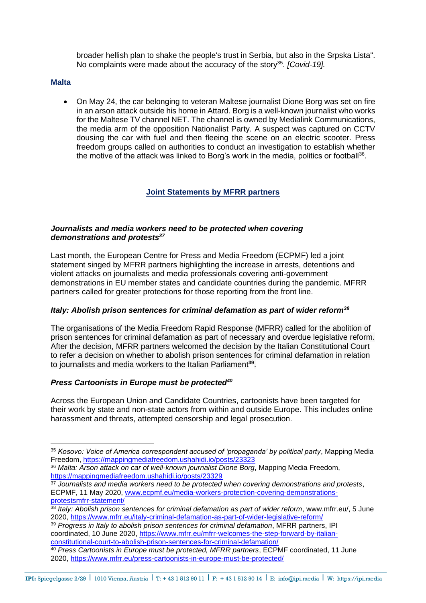broader hellish plan to shake the people's trust in Serbia, but also in the Srpska Lista". No complaints were made about the accuracy of the story<sup>35</sup>. [Covid-19].

#### **Malta**

• On May 24, the car belonging to veteran Maltese journalist Dione Borg was set on fire in an arson attack outside his home in Attard. Borg is a well-known journalist who works for the Maltese TV channel NET. The channel is owned by Medialink Communications, the media arm of the opposition Nationalist Party. A suspect was captured on CCTV dousing the car with fuel and then fleeing the scene on an electric scooter. Press freedom groups called on authorities to conduct an investigation to establish whether the motive of the attack was linked to Borg's work in the media, politics or football<sup>36</sup>.

# **Joint Statements by MFRR partners**

#### *Journalists and media workers need to be protected when covering demonstrations and protests<sup>37</sup>*

Last month, the European Centre for Press and Media Freedom (ECPMF) led a joint statement singed by MFRR partners highlighting the increase in arrests, detentions and violent attacks on journalists and media professionals covering anti-government demonstrations in EU member states and candidate countries during the pandemic. MFRR partners called for greater protections for those reporting from the front line.

## *Italy: Abolish prison sentences for criminal defamation as part of wider reform<sup>38</sup>*

The organisations of the Media Freedom Rapid Response (MFRR) called for the abolition of prison sentences for criminal defamation as part of necessary and overdue legislative reform. After the decision, MFRR partners welcomed the decision by the Italian Constitutional Court to refer a decision on whether to abolish prison sentences for criminal defamation in relation to journalists and media workers to the Italian Parliament **39** .

## *Press Cartoonists in Europe must be protected<sup>40</sup>*

Across the European Union and Candidate Countries, cartoonists have been targeted for their work by state and non-state actors from within and outside Europe. This includes online harassment and threats, attempted censorship and legal prosecution.

<sup>35</sup> *Kosovo: Voice of America correspondent accused of 'propaganda' by political party*, Mapping Media Freedom,<https://mappingmediafreedom.ushahidi.io/posts/23323>

<sup>36</sup> *Malta: Arson attack on car of well-known journalist Dione Borg*, Mapping Media Freedom, <https://mappingmediafreedom.ushahidi.io/posts/23329>

<sup>37</sup> *Journalists and media workers need to be protected when covering demonstrations and protests*, ECPMF, 11 May 2020, [www.ecpmf.eu/media-workers-protection-covering-demonstrations](http://www.ecpmf.eu/media-workers-protection-covering-demonstrations-protestsmfrr-statement/)[protestsmfrr-statement/](http://www.ecpmf.eu/media-workers-protection-covering-demonstrations-protestsmfrr-statement/)

<sup>38</sup> *Italy: Abolish prison sentences for criminal defamation as part of wider reform*, www.mfrr.eu/, 5 June 2020,<https://www.mfrr.eu/italy-criminal-defamation-as-part-of-wider-legislative-reform/>

<sup>39</sup> *Progress in Italy to abolish prison sentences for criminal defamation*, MFRR partners, IPI coordinated, 10 June 2020, [https://www.mfrr.eu/mfrr-welcomes-the-step-forward-by-italian](https://www.mfrr.eu/mfrr-welcomes-the-step-forward-by-italian-constitutional-court-to-abolish-prison-sentences-for-criminal-defamation/)[constitutional-court-to-abolish-prison-sentences-for-criminal-defamation/](https://www.mfrr.eu/mfrr-welcomes-the-step-forward-by-italian-constitutional-court-to-abolish-prison-sentences-for-criminal-defamation/)

<sup>40</sup> *Press Cartoonists in Europe must be protected, MFRR partners*, ECPMF coordinated, 11 June 2020,<https://www.mfrr.eu/press-cartoonists-in-europe-must-be-protected/>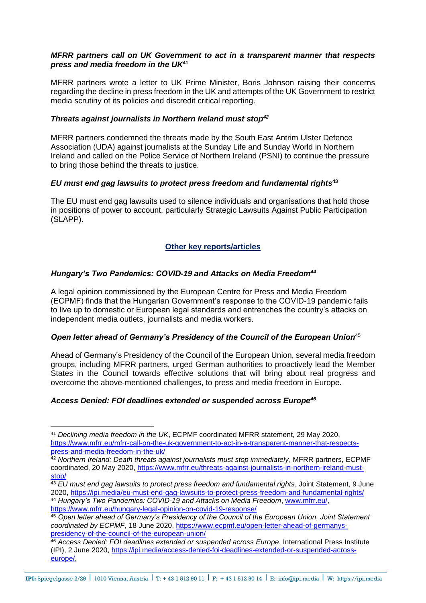#### *MFRR partners call on UK Government to act in a transparent manner that respects press and media freedom in the UK***<sup>41</sup>**

MFRR partners wrote a letter to UK Prime Minister, Boris Johnson raising their concerns regarding the decline in press freedom in the UK and attempts of the UK Government to restrict media scrutiny of its policies and discredit critical reporting.

#### *Threats against journalists in Northern Ireland must stop<sup>42</sup>*

MFRR partners condemned the threats made by the South East Antrim Ulster Defence Association (UDA) against journalists at the Sunday Life and Sunday World in Northern Ireland and called on the Police Service of Northern Ireland (PSNI) to continue the pressure to bring those behind the threats to justice.

#### *EU must end gag lawsuits to protect press freedom and fundamental rights***<sup>43</sup>**

The EU must end gag lawsuits used to silence individuals and organisations that hold those in positions of power to account, particularly Strategic Lawsuits Against Public Participation (SLAPP).

## **Other key reports/articles**

## *Hungary's Two Pandemics: COVID-19 and Attacks on Media Freedom<sup>44</sup>*

A legal opinion commissioned by the European Centre for Press and Media Freedom (ECPMF) finds that the Hungarian Government's response to the COVID-19 pandemic fails to live up to domestic or European legal standards and entrenches the country's attacks on independent media outlets, journalists and media workers.

## *Open letter ahead of Germany's Presidency of the Council of the European Union*<sup>45</sup>

Ahead of Germany's Presidency of the Council of the European Union, several media freedom groups, including MFRR partners, urged German authorities to proactively lead the Member States in the Council towards effective solutions that will bring about real progress and overcome the above-mentioned challenges, to press and media freedom in Europe.

## *Access Denied: FOI deadlines extended or suspended across Europe<sup>46</sup>*

<sup>41</sup> *Declining media freedom in the UK*, ECPMF coordinated MFRR statement, 29 May 2020, [https://www.mfrr.eu/mfrr-call-on-the-uk-government-to-act-in-a-transparent-manner-that-respects](https://www.mfrr.eu/mfrr-call-on-the-uk-government-to-act-in-a-transparent-manner-that-respects-press-and-media-freedom-in-the-uk/)[press-and-media-freedom-in-the-uk/](https://www.mfrr.eu/mfrr-call-on-the-uk-government-to-act-in-a-transparent-manner-that-respects-press-and-media-freedom-in-the-uk/)

<sup>42</sup> *Northern Ireland: Death threats against journalists must stop immediately*, MFRR partners, ECPMF coordinated, 20 May 2020, [https://www.mfrr.eu/threats-against-journalists-in-northern-ireland-must](https://www.mfrr.eu/threats-against-journalists-in-northern-ireland-must-stop/)[stop/](https://www.mfrr.eu/threats-against-journalists-in-northern-ireland-must-stop/)

<sup>43</sup> *EU must end gag lawsuits to protect press freedom and fundamental rights*, Joint Statement, 9 June 2020,<https://ipi.media/eu-must-end-gag-lawsuits-to-protect-press-freedom-and-fundamental-rights/> <sup>44</sup> *Hungary's Two Pandemics: COVID-19 and Attacks on Media Freedom*, [www.mfrr.eu/,](http://www.mfrr.eu/) <https://www.mfrr.eu/hungary-legal-opinion-on-covid-19-response/>

<sup>45</sup> *Open letter ahead of Germany's Presidency of the Council of the European Union, Joint Statement coordinated by ECPMF*, 18 June 2020, [https://www.ecpmf.eu/open-letter-ahead-of-germanys](https://www.ecpmf.eu/open-letter-ahead-of-germanys-presidency-of-the-council-of-the-european-union/)[presidency-of-the-council-of-the-european-union/](https://www.ecpmf.eu/open-letter-ahead-of-germanys-presidency-of-the-council-of-the-european-union/)

<sup>46</sup> *Access Denied: FOI deadlines extended or suspended across Europe*, International Press Institute (IPI), 2 June 2020, [https://ipi.media/access-denied-foi-deadlines-extended-or-suspended-across](https://ipi.media/access-denied-foi-deadlines-extended-or-suspended-across-europe/)[europe/,](https://ipi.media/access-denied-foi-deadlines-extended-or-suspended-across-europe/)